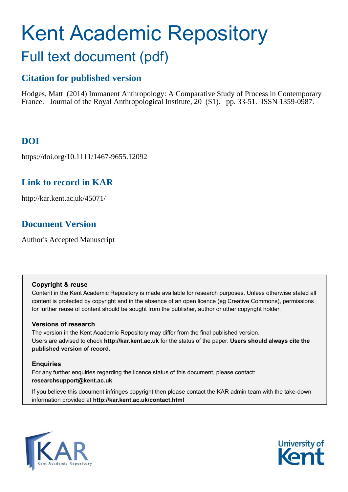# Kent Academic Repository Full text document (pdf)

## **Citation for published version**

Hodges, Matt (2014) Immanent Anthropology: A Comparative Study of Process in Contemporary France. Journal of the Royal Anthropological Institute, 20 (S1). pp. 33-51. ISSN 1359-0987.

# **DOI**

https://doi.org/10.1111/1467-9655.12092

## **Link to record in KAR**

http://kar.kent.ac.uk/45071/

## **Document Version**

Author's Accepted Manuscript

## **Copyright & reuse**

Content in the Kent Academic Repository is made available for research purposes. Unless otherwise stated all content is protected by copyright and in the absence of an open licence (eg Creative Commons), permissions for further reuse of content should be sought from the publisher, author or other copyright holder.

## **Versions of research**

The version in the Kent Academic Repository may differ from the final published version. Users are advised to check **http://kar.kent.ac.uk** for the status of the paper. **Users should always cite the published version of record.**

## **Enquiries**

For any further enquiries regarding the licence status of this document, please contact: **researchsupport@kent.ac.uk**

If you believe this document infringes copyright then please contact the KAR admin team with the take-down information provided at **http://kar.kent.ac.uk/contact.html**



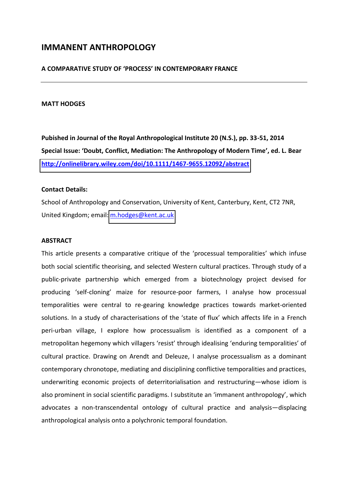## **IMMANENT ANTHROPOLOGY**

#### **A COMPARATIVE STUDY OF けP'OCESSげ IN CONTEMPORARY FRANCE**

#### **MATT HODGES**

**Pubished in Journal of the Royal Anthropological Institute 20 (N.S.), pp. 33-51, 2014 Special Issue: けDoubt, Conflict, Mediation: The Anthropology of Modern Timeげ, ed. L. Bear <http://onlinelibrary.wiley.com/doi/10.1111/1467-9655.12092/abstract>**

#### **Contact Details:**

School of Anthropology and Conservation, University of Kent, Canterbury, Kent, CT2 7NR, United Kingdom; email: [m.hodges@kent.ac.uk](mailto:m.hodges@kent.ac.uk) 

#### **ABSTRACT**

This article presents a comparative critique of the 'processual temporalities' which infuse both social scientific theorising, and selected Western cultural practices. Through study of a public-private partnership which emerged from a biotechnology project devised for producing 'self-cloning' maize for resource-poor farmers, I analyse how processual temporalities were central to re-gearing knowledge practices towards market-oriented solutions. In a study of characterisations of the 'state of flux' which affects life in a French peri-urban village, I explore how processualism is identified as a component of a metropolitan hegemony which villagers 'resist' through idealising 'enduring temporalities' of cultural practice. Drawing on Arendt and Deleuze, I analyse processualism as a dominant contemporary chronotope, mediating and disciplining conflictive temporalities and practices, underwriting economic projects of deterritorialisation and restructuring-whose idiom is also prominent in social scientific paradigms. I substitute an 'immanent anthropology', which advocates a non-transcendental ontology of cultural practice and analysis-displacing anthropological analysis onto a polychronic temporal foundation.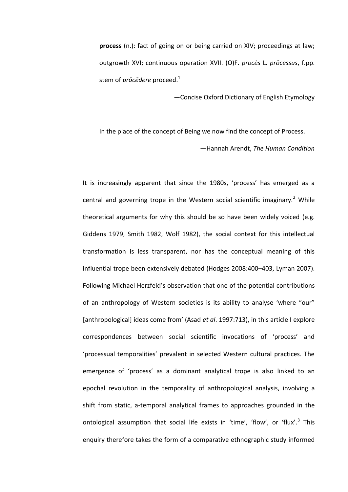**process** (n.): fact of going on or being carried on XIV; proceedings at law; outgrowth XVI; continuous operation XVII. (O)F. *procès* L. *prōcessus*, f.pp. stem of *prōcēdere* proceed.<sup>1</sup>

**-Concise Oxford Dictionary of English Etymology** 

In the place of the concept of Being we now find the concept of Process.

ねHannah Arendt, *The Human Condition* 

It is increasingly apparent that since the 1980s, 'process' has emerged as a central and governing trope in the Western social scientific imaginary.<sup>2</sup> While theoretical arguments for why this should be so have been widely voiced (e.g. Giddens 1979, Smith 1982, Wolf 1982), the social context for this intellectual transformation is less transparent, nor has the conceptual meaning of this influential trope been extensively debated (Hodges 2008:400-403, Lyman 2007). Following Michael Herzfeld's observation that one of the potential contributions of an anthropology of Western societies is its ability to analyse 'where "our" [anthropological] ideas come from' (Asad *et al.* 1997:713), in this article I explore correspondences between social scientific invocations of 'process' and 'processual temporalities' prevalent in selected Western cultural practices. The emergence of 'process' as a dominant analytical trope is also linked to an epochal revolution in the temporality of anthropological analysis, involving a shift from static, a-temporal analytical frames to approaches grounded in the ontological assumption that social life exists in 'time', 'flow', or 'flux'.<sup>3</sup> This enquiry therefore takes the form of a comparative ethnographic study informed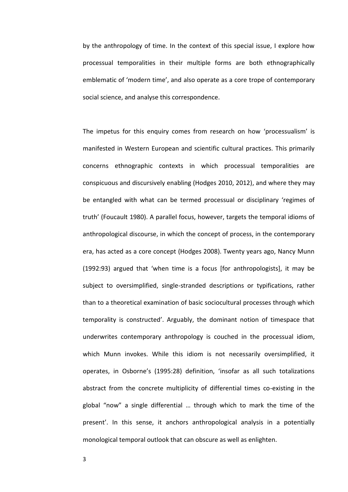by the anthropology of time. In the context of this special issue, I explore how processual temporalities in their multiple forms are both ethnographically emblematic of 'modern time', and also operate as a core trope of contemporary social science, and analyse this correspondence.

The impetus for this enquiry comes from research on how 'processualism' is manifested in Western European and scientific cultural practices. This primarily concerns ethnographic contexts in which processual temporalities are conspicuous and discursively enabling (Hodges 2010, 2012), and where they may be entangled with what can be termed processual or disciplinary 'regimes of truth' (Foucault 1980). A parallel focus, however, targets the temporal idioms of anthropological discourse, in which the concept of process, in the contemporary era, has acted as a core concept (Hodges 2008). Twenty years ago, Nancy Munn (1992:93) argued that 'when time is a focus [for anthropologists], it may be subject to oversimplified, single-stranded descriptions or typifications, rather than to a theoretical examination of basic sociocultural processes through which temporality is constructed'. Arguably, the dominant notion of timespace that underwrites contemporary anthropology is couched in the processual idiom, which Munn invokes. While this idiom is not necessarily oversimplified, it operates, in Osborne's (1995:28) definition, 'insofar as all such totalizations abstract from the concrete multiplicity of differential times co-existing in the global "now" a single differential ... through which to mark the time of the present'. In this sense, it anchors anthropological analysis in a potentially monological temporal outlook that can obscure as well as enlighten.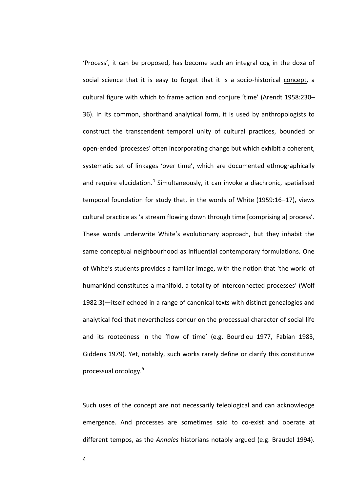'Process', it can be proposed, has become such an integral cog in the doxa of social science that it is easy to forget that it is a socio-historical concept, a cultural figure with which to frame action and conjure 'time' (Arendt 1958:230-36). In its common, shorthand analytical form, it is used by anthropologists to construct the transcendent temporal unity of cultural practices, bounded or open-ended 'processes' often incorporating change but which exhibit a coherent, systematic set of linkages 'over time', which are documented ethnographically and require elucidation.<sup>4</sup> Simultaneously, it can invoke a diachronic, spatialised temporal foundation for study that, in the words of White (1959:16–17), views cultural practice as 'a stream flowing down through time [comprising a] process'. These words underwrite White's evolutionary approach, but they inhabit the same conceptual neighbourhood as influential contemporary formulations. One of White's students provides a familiar image, with the notion that 'the world of humankind constitutes a manifold, a totality of interconnected processes' (Wolf 1982:3)-itself echoed in a range of canonical texts with distinct genealogies and analytical foci that nevertheless concur on the processual character of social life and its rootedness in the 'flow of time' (e.g. Bourdieu 1977, Fabian 1983, Giddens 1979). Yet, notably, such works rarely define or clarify this constitutive processual ontology.<sup>5</sup>

Such uses of the concept are not necessarily teleological and can acknowledge emergence. And processes are sometimes said to co-exist and operate at different tempos, as the *Annales* historians notably argued (e.g. Braudel 1994).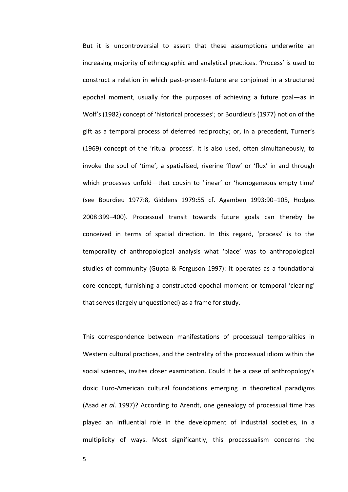But it is uncontroversial to assert that these assumptions underwrite an increasing majority of ethnographic and analytical practices. 'Process' is used to construct a relation in which past-present-future are conjoined in a structured epochal moment, usually for the purposes of achieving a future goal-as in Wolf's (1982) concept of 'historical processes'; or Bourdieu's (1977) notion of the gift as a temporal process of deferred reciprocity; or, in a precedent, Turner's (1969) concept of the 'ritual process'. It is also used, often simultaneously, to invoke the soul of 'time', a spatialised, riverine 'flow' or 'flux' in and through which processes unfold-that cousin to 'linear' or 'homogeneous empty time' (see Bourdieu 1977:8, Giddens 1979:55 cf. Agamben 1993:90-105, Hodges 2008:399-400). Processual transit towards future goals can thereby be conceived in terms of spatial direction. In this regard, 'process' is to the temporality of anthropological analysis what 'place' was to anthropological studies of community (Gupta & Ferguson 1997): it operates as a foundational core concept, furnishing a constructed epochal moment or temporal 'clearing' that serves (largely unquestioned) as a frame for study.

This correspondence between manifestations of processual temporalities in Western cultural practices, and the centrality of the processual idiom within the social sciences, invites closer examination. Could it be a case of anthropology's doxic Euro-American cultural foundations emerging in theoretical paradigms (Asad *et al*. 1997)? According to Arendt, one genealogy of processual time has played an influential role in the development of industrial societies, in a multiplicity of ways. Most significantly, this processualism concerns the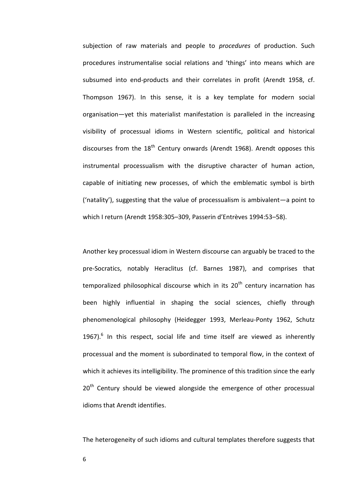subjection of raw materials and people to *procedures* of production. Such procedures instrumentalise social relations and 'things' into means which are subsumed into end-products and their correlates in profit (Arendt 1958, cf. Thompson 1967). In this sense, it is a key template for modern social organisation—yet this materialist manifestation is paralleled in the increasing visibility of processual idioms in Western scientific, political and historical discourses from the  $18<sup>th</sup>$  Century onwards (Arendt 1968). Arendt opposes this instrumental processualism with the disruptive character of human action, capable of initiating new processes, of which the emblematic symbol is birth ('natality'), suggesting that the value of processualism is ambivalent—a point to which I return (Arendt 1958:305-309, Passerin d'Entrèves 1994:53-58).

Another key processual idiom in Western discourse can arguably be traced to the pre-Socratics, notably Heraclitus (cf. Barnes 1987), and comprises that temporalized philosophical discourse which in its  $20<sup>th</sup>$  century incarnation has been highly influential in shaping the social sciences, chiefly through phenomenological philosophy (Heidegger 1993, Merleau-Ponty 1962, Schutz 1967). $<sup>6</sup>$  In this respect, social life and time itself are viewed as inherently</sup> processual and the moment is subordinated to temporal flow, in the context of which it achieves its intelligibility. The prominence of this tradition since the early  $20<sup>th</sup>$  Century should be viewed alongside the emergence of other processual idioms that Arendt identifies.

The heterogeneity of such idioms and cultural templates therefore suggests that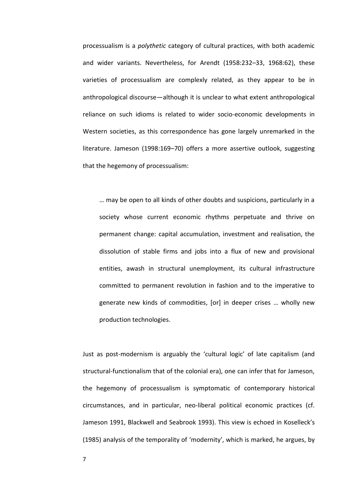processualism is a *polythetic* category of cultural practices, with both academic and wider variants. Nevertheless, for Arendt (1958:232-33, 1968:62), these varieties of processualism are complexly related, as they appear to be in anthropological discourse—although it is unclear to what extent anthropological reliance on such idioms is related to wider socio-economic developments in Western societies, as this correspondence has gone largely unremarked in the literature. Jameson (1998:169–70) offers a more assertive outlook, suggesting that the hegemony of processualism:

... may be open to all kinds of other doubts and suspicions, particularly in a society whose current economic rhythms perpetuate and thrive on permanent change: capital accumulation, investment and realisation, the dissolution of stable firms and jobs into a flux of new and provisional entities, awash in structural unemployment, its cultural infrastructure committed to permanent revolution in fashion and to the imperative to generate new kinds of commodities, [or] in deeper crises ... wholly new production technologies.

Just as post-modernism is arguably the 'cultural logic' of late capitalism (and structural-functionalism that of the colonial era), one can infer that for Jameson, the hegemony of processualism is symptomatic of contemporary historical circumstances, and in particular, neo-liberal political economic practices (cf. Jameson 1991, Blackwell and Seabrook 1993). This view is echoed in Koselleck's (1985) analysis of the temporality of 'modernity', which is marked, he argues, by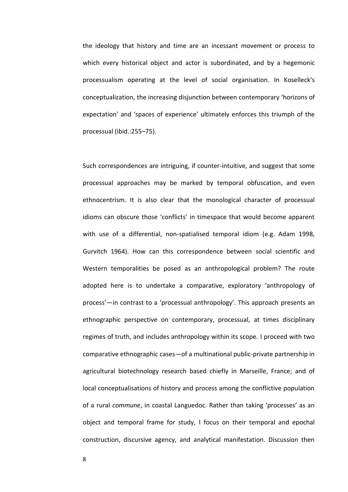the ideology that history and time are an incessant movement or process to which every historical object and actor is subordinated, and by a hegemonic processualism operating at the level of social organisation. In Koselleck's conceptualization, the increasing disjunction between contemporary 'horizons of expectation' and 'spaces of experience' ultimately enforces this triumph of the processual (ibid.:255-75).

Such correspondences are intriguing, if counter-intuitive, and suggest that some processual approaches may be marked by temporal obfuscation, and even ethnocentrism. It is also clear that the monological character of processual idioms can obscure those 'conflicts' in timespace that would become apparent with use of a differential, non-spatialised temporal idiom (e.g. Adam 1998, Gurvitch 1964). How can this correspondence between social scientific and Western temporalities be posed as an anthropological problem? The route adopted here is to undertake a comparative, exploratory 'anthropology of process'—in contrast to a 'processual anthropology'. This approach presents an ethnographic perspective on contemporary, processual, at times disciplinary regimes of truth, and includes anthropology within its scope. I proceed with two comparative ethnographic cases—of a multinational public-private partnership in agricultural biotechnology research based chiefly in Marseille, France; and of local conceptualisations of history and process among the conflictive population of a rural *commune*, in coastal Languedoc. Rather than taking 'processes' as an object and temporal frame for study, I focus on their temporal and epochal construction, discursive agency, and analytical manifestation. Discussion then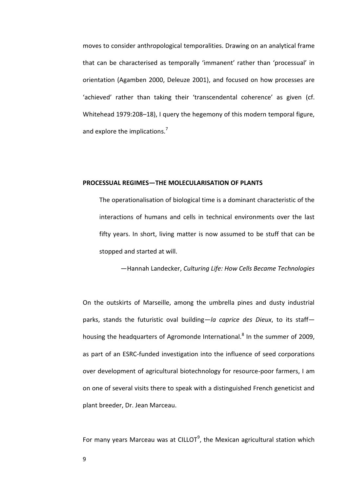moves to consider anthropological temporalities. Drawing on an analytical frame that can be characterised as temporally 'immanent' rather than 'processual' in orientation (Agamben 2000, Deleuze 2001), and focused on how processes are 'achieved' rather than taking their 'transcendental coherence' as given (cf. Whitehead 1979:208-18), I query the hegemony of this modern temporal figure, and explore the implications.<sup>7</sup>

#### **PROCESSUAL REGIMESねTHE MOLECULARISATION OF PLANTS**

The operationalisation of biological time is a dominant characteristic of the interactions of humans and cells in technical environments over the last fifty years. In short, living matter is now assumed to be stuff that can be stopped and started at will.

ねHannah Landecker, *Culturing Life: How Cells Became Technologies*

On the outskirts of Marseille, among the umbrella pines and dusty industrial parks, stands the futuristic oval building—la caprice des Dieux, to its staff housing the headquarters of Agromonde International.<sup>8</sup> In the summer of 2009, as part of an ESRC-funded investigation into the influence of seed corporations over development of agricultural biotechnology for resource-poor farmers, I am on one of several visits there to speak with a distinguished French geneticist and plant breeder, Dr. Jean Marceau.

For many years Marceau was at CILLOT<sup>9</sup>, the Mexican agricultural station which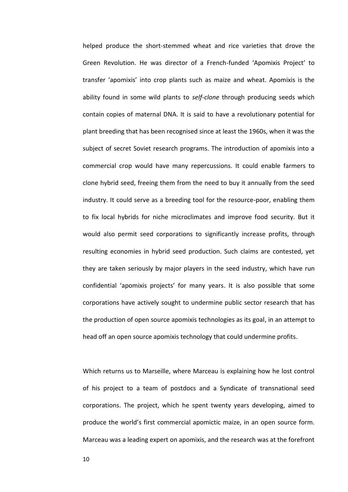helped produce the short-stemmed wheat and rice varieties that drove the Green Revolution. He was director of a French-funded 'Apomixis Project' to transfer 'apomixis' into crop plants such as maize and wheat. Apomixis is the ability found in some wild plants to *self-clone* through producing seeds which contain copies of maternal DNA. It is said to have a revolutionary potential for plant breeding that has been recognised since at least the 1960s, when it was the subject of secret Soviet research programs. The introduction of apomixis into a commercial crop would have many repercussions. It could enable farmers to clone hybrid seed, freeing them from the need to buy it annually from the seed industry. It could serve as a breeding tool for the resource-poor, enabling them to fix local hybrids for niche microclimates and improve food security. But it would also permit seed corporations to significantly increase profits, through resulting economies in hybrid seed production. Such claims are contested, yet they are taken seriously by major players in the seed industry, which have run confidential 'apomixis projects' for many years. It is also possible that some corporations have actively sought to undermine public sector research that has the production of open source apomixis technologies as its goal, in an attempt to head off an open source apomixis technology that could undermine profits.

Which returns us to Marseille, where Marceau is explaining how he lost control of his project to a team of postdocs and a Syndicate of transnational seed corporations. The project, which he spent twenty years developing, aimed to produce the world's first commercial apomictic maize, in an open source form. Marceau was a leading expert on apomixis, and the research was at the forefront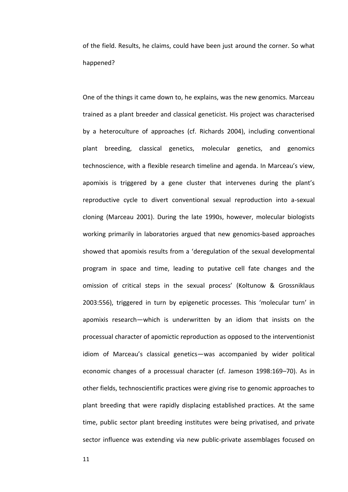of the field. Results, he claims, could have been just around the corner. So what happened?

One of the things it came down to, he explains, was the new genomics. Marceau trained as a plant breeder and classical geneticist. His project was characterised by a heteroculture of approaches (cf. Richards 2004), including conventional plant breeding, classical genetics, molecular genetics, and genomics technoscience, with a flexible research timeline and agenda. In Marceau's view, apomixis is triggered by a gene cluster that intervenes during the plant's reproductive cycle to divert conventional sexual reproduction into a-sexual cloning (Marceau 2001). During the late 1990s, however, molecular biologists working primarily in laboratories argued that new genomics-based approaches showed that apomixis results from a 'deregulation of the sexual developmental program in space and time, leading to putative cell fate changes and the omission of critical steps in the sexual process' (Koltunow & Grossniklaus 2003:556), triggered in turn by epigenetic processes. This 'molecular turn' in apomixis research—which is underwritten by an idiom that insists on the processual character of apomictic reproduction as opposed to the interventionist idiom of Marceau's classical genetics—was accompanied by wider political economic changes of a processual character (cf. Jameson 1998:169-70). As in other fields, technoscientific practices were giving rise to genomic approaches to plant breeding that were rapidly displacing established practices. At the same time, public sector plant breeding institutes were being privatised, and private sector influence was extending via new public-private assemblages focused on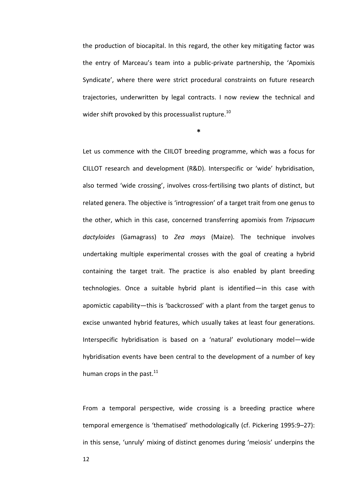the production of biocapital. In this regard, the other key mitigating factor was the entry of Marceau's team into a public-private partnership, the 'Apomixis Syndicate', where there were strict procedural constraints on future research trajectories, underwritten by legal contracts. I now review the technical and wider shift provoked by this processualist rupture.<sup>10</sup>

**\*** 

Let us commence with the CIILOT breeding programme, which was a focus for CILLOT research and development (R&D). Interspecific or 'wide' hybridisation, also termed 'wide crossing', involves cross-fertilising two plants of distinct, but related genera. The objective is 'introgression' of a target trait from one genus to the other, which in this case, concerned transferring apomixis from *Tripsacum dactyloides* (Gamagrass) to *Zea mays* (Maize). The technique involves undertaking multiple experimental crosses with the goal of creating a hybrid containing the target trait. The practice is also enabled by plant breeding technologies. Once a suitable hybrid plant is identified—in this case with apomictic capability—this is 'backcrossed' with a plant from the target genus to excise unwanted hybrid features, which usually takes at least four generations. Interspecific hybridisation is based on a 'natural' evolutionary model—wide hybridisation events have been central to the development of a number of key human crops in the past. $^{11}$ 

From a temporal perspective, wide crossing is a breeding practice where temporal emergence is 'thematised' methodologically (cf. Pickering 1995:9-27): in this sense, 'unruly' mixing of distinct genomes during 'meiosis' underpins the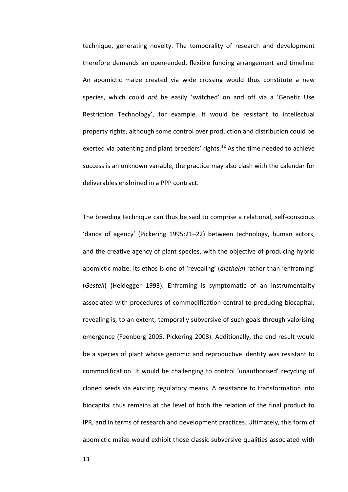technique, generating novelty. The temporality of research and development therefore demands an open-ended, flexible funding arrangement and timeline. An apomictic maize created via wide crossing would thus constitute a new species, which could *not* be easily 'switched' on and off via a 'Genetic Use Restriction Technology', for example. It would be resistant to intellectual property rights, although some control over production and distribution could be exerted via patenting and plant breeders' rights.<sup>12</sup> As the time needed to achieve success is an unknown variable, the practice may also clash with the calendar for deliverables enshrined in a PPP contract.

The breeding technique can thus be said to comprise a relational, self-conscious 'dance of agency' (Pickering 1995:21-22) between technology, human actors, and the creative agency of plant species, with the objective of producing hybrid apomictic maize. Its ethos is one of 'revealing' (aletheia) rather than 'enframing' (*Gestell*) (Heidegger 1993). Enframing is symptomatic of an instrumentality associated with procedures of commodification central to producing biocapital; revealing is, to an extent, temporally subversive of such goals through valorising emergence (Feenberg 2005, Pickering 2008). Additionally, the end result would be a species of plant whose genomic and reproductive identity was resistant to commodification. It would be challenging to control 'unauthorised' recycling of cloned seeds via existing regulatory means. A resistance to transformation into biocapital thus remains at the level of both the relation of the final product to IPR, and in terms of research and development practices. Ultimately, this form of apomictic maize would exhibit those classic subversive qualities associated with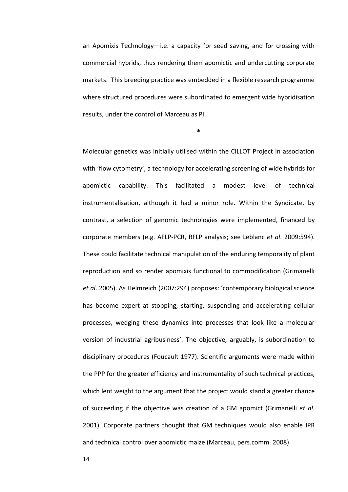an Apomixis Technology-i.e. a capacity for seed saving, and for crossing with commercial hybrids, thus rendering them apomictic and undercutting corporate markets. This breeding practice was embedded in a flexible research programme where structured procedures were subordinated to emergent wide hybridisation results, under the control of Marceau as PI.

**\*** 

Molecular genetics was initially utilised within the CILLOT Project in association with 'flow cytometry', a technology for accelerating screening of wide hybrids for apomictic capability. This facilitated a modest level of technical instrumentalisation, although it had a minor role. Within the Syndicate, by contrast, a selection of genomic technologies were implemented, financed by corporate members (e.g. AFLP-PCR, RFLP analysis; see Leblanc *et al*. 2009:594). These could facilitate technical manipulation of the enduring temporality of plant reproduction and so render apomixis functional to commodification (Grimanelli *et al.* 2005). As Helmreich (2007:294) proposes: 'contemporary biological science has become expert at stopping, starting, suspending and accelerating cellular processes, wedging these dynamics into processes that look like a molecular version of industrial agribusiness'. The objective, arguably, is subordination to disciplinary procedures (Foucault 1977). Scientific arguments were made within the PPP for the greater efficiency and instrumentality of such technical practices, which lent weight to the argument that the project would stand a greater chance of succeeding if the objective was creation of a GM apomict (Grimanelli *et al*. 2001). Corporate partners thought that GM techniques would also enable IPR and technical control over apomictic maize (Marceau, pers.comm. 2008).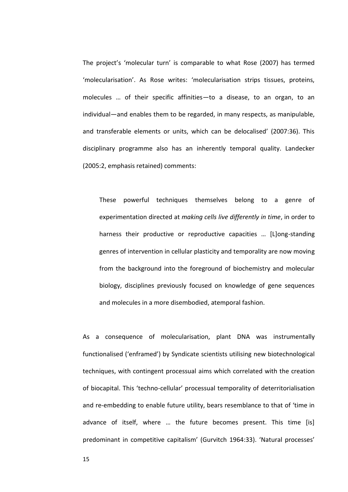The project's 'molecular turn' is comparable to what Rose (2007) has termed 'molecularisation'. As Rose writes: 'molecularisation strips tissues, proteins, molecules ... of their specific affinities-to a disease, to an organ, to an individual—and enables them to be regarded, in many respects, as manipulable, and transferable elements or units, which can be delocalised' (2007:36). This disciplinary programme also has an inherently temporal quality. Landecker (2005:2, emphasis retained) comments:

These powerful techniques themselves belong to a genre of experimentation directed at *making cells live differently in time*, in order to harness their productive or reproductive capacities ... [L]ong-standing genres of intervention in cellular plasticity and temporality are now moving from the background into the foreground of biochemistry and molecular biology, disciplines previously focused on knowledge of gene sequences and molecules in a more disembodied, atemporal fashion.

As a consequence of molecularisation, plant DNA was instrumentally functionalised ('enframed') by Syndicate scientists utilising new biotechnological techniques, with contingent processual aims which correlated with the creation of biocapital. This 'techno-cellular' processual temporality of deterritorialisation and re-embedding to enable future utility, bears resemblance to that of 'time in advance of itself, where ... the future becomes present. This time [is] predominant in competitive capitalism' (Gurvitch 1964:33). 'Natural processes'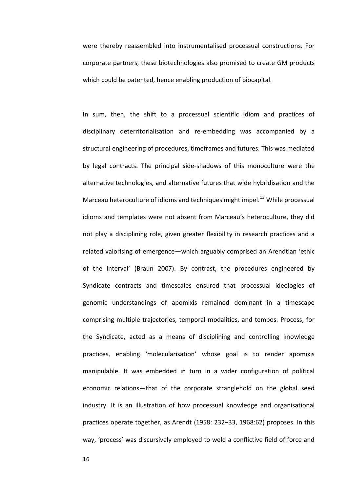were thereby reassembled into instrumentalised processual constructions. For corporate partners, these biotechnologies also promised to create GM products which could be patented, hence enabling production of biocapital.

In sum, then, the shift to a processual scientific idiom and practices of disciplinary deterritorialisation and re-embedding was accompanied by a structural engineering of procedures, timeframes and futures. This was mediated by legal contracts. The principal side-shadows of this monoculture were the alternative technologies, and alternative futures that wide hybridisation and the Marceau heteroculture of idioms and techniques might impel.<sup>13</sup> While processual idioms and templates were not absent from Marceau's heteroculture, they did not play a disciplining role, given greater flexibility in research practices and a related valorising of emergence—which arguably comprised an Arendtian 'ethic of the interval' (Braun 2007). By contrast, the procedures engineered by Syndicate contracts and timescales ensured that processual ideologies of genomic understandings of apomixis remained dominant in a timescape comprising multiple trajectories, temporal modalities, and tempos. Process, for the Syndicate, acted as a means of disciplining and controlling knowledge practices, enabling 'molecularisation' whose goal is to render apomixis manipulable. It was embedded in turn in a wider configuration of political economic relations—that of the corporate stranglehold on the global seed industry. It is an illustration of how processual knowledge and organisational practices operate together, as Arendt (1958: 232-33, 1968:62) proposes. In this way, 'process' was discursively employed to weld a conflictive field of force and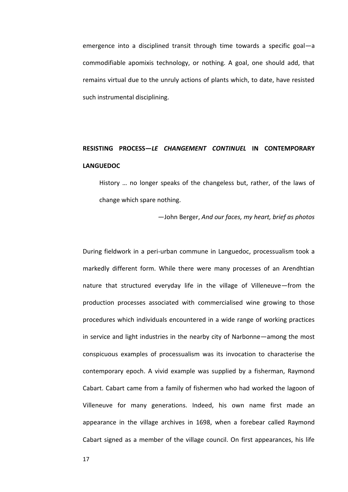emergence into a disciplined transit through time towards a specific goal $-a$ commodifiable apomixis technology, or nothing. A goal, one should add, that remains virtual due to the unruly actions of plants which, to date, have resisted such instrumental disciplining.

# **RESISTING PROCESSね***LE CHANGEMENT CONTINUEL* **IN CONTEMPORARY LANGUEDOC**

History ... no longer speaks of the changeless but, rather, of the laws of change which spare nothing.

 $-$  John Berger, And our faces, my heart, brief as photos

During fieldwork in a peri-urban commune in Languedoc, processualism took a markedly different form. While there were many processes of an Arendhtian nature that structured everyday life in the village of Villeneuve-from the production processes associated with commercialised wine growing to those procedures which individuals encountered in a wide range of working practices in service and light industries in the nearby city of Narbonne—among the most conspicuous examples of processualism was its invocation to characterise the contemporary epoch. A vivid example was supplied by a fisherman, Raymond Cabart. Cabart came from a family of fishermen who had worked the lagoon of Villeneuve for many generations. Indeed, his own name first made an appearance in the village archives in 1698, when a forebear called Raymond Cabart signed as a member of the village council. On first appearances, his life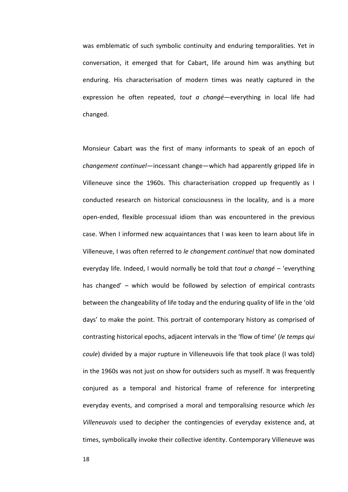was emblematic of such symbolic continuity and enduring temporalities. Yet in conversation, it emerged that for Cabart, life around him was anything but enduring. His characterisation of modern times was neatly captured in the expression he often repeated, *tout a changé*—everything in local life had changed.

Monsieur Cabart was the first of many informants to speak of an epoch of *changement continuel*—incessant change—which had apparently gripped life in Villeneuve since the 1960s. This characterisation cropped up frequently as I conducted research on historical consciousness in the locality, and is a more open-ended, flexible processual idiom than was encountered in the previous case. When I informed new acquaintances that I was keen to learn about life in Villeneuve, I was often referred to *le changement continuel* that now dominated everyday life. Indeed, I would normally be told that *tout a changé* – 'everything has changed'  $-$  which would be followed by selection of empirical contrasts between the changeability of life today and the enduring quality of life in the 'old days' to make the point. This portrait of contemporary history as comprised of contrasting historical epochs, adjacent intervals in the 'flow of time' (le temps qui *coule*) divided by a major rupture in Villeneuvois life that took place (I was told) in the 1960s was not just on show for outsiders such as myself. It was frequently conjured as a temporal and historical frame of reference for interpreting everyday events, and comprised a moral and temporalising resource which *les Villeneuvois* used to decipher the contingencies of everyday existence and, at times, symbolically invoke their collective identity. Contemporary Villeneuve was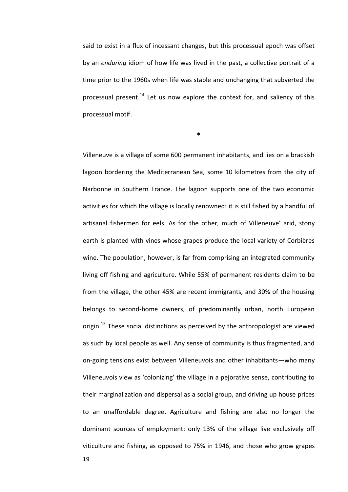said to exist in a flux of incessant changes, but this processual epoch was offset by an *enduring* idiom of how life was lived in the past, a collective portrait of a time prior to the 1960s when life was stable and unchanging that subverted the processual present.<sup>14</sup> Let us now explore the context for, and saliency of this processual motif.

**\*** 

Villeneuve is a village of some 600 permanent inhabitants, and lies on a brackish lagoon bordering the Mediterranean Sea, some 10 kilometres from the city of Narbonne in Southern France. The lagoon supports one of the two economic activities for which the village is locally renowned: it is still fished by a handful of artisanal fishermen for eels. As for the other, much of Villeneuve' arid, stony earth is planted with vines whose grapes produce the local variety of Corbières wine. The population, however, is far from comprising an integrated community living off fishing and agriculture. While 55% of permanent residents claim to be from the village, the other 45% are recent immigrants, and 30% of the housing belongs to second-home owners, of predominantly urban, north European origin.<sup>15</sup> These social distinctions as perceived by the anthropologist are viewed as such by local people as well. Any sense of community is thus fragmented, and on-going tensions exist between Villeneuvois and other inhabitants—who many Villeneuvois view as 'colonizing' the village in a pejorative sense, contributing to their marginalization and dispersal as a social group, and driving up house prices to an unaffordable degree. Agriculture and fishing are also no longer the dominant sources of employment: only 13% of the village live exclusively off viticulture and fishing, as opposed to 75% in 1946, and those who grow grapes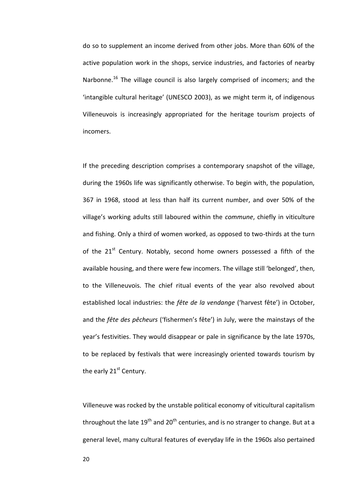do so to supplement an income derived from other jobs. More than 60% of the active population work in the shops, service industries, and factories of nearby Narbonne.<sup>16</sup> The village council is also largely comprised of incomers; and the 'intangible cultural heritage' (UNESCO 2003), as we might term it, of indigenous Villeneuvois is increasingly appropriated for the heritage tourism projects of incomers.

If the preceding description comprises a contemporary snapshot of the village, during the 1960s life was significantly otherwise. To begin with, the population, 367 in 1968, stood at less than half its current number, and over 50% of the village's working adults still laboured within the *commune*, chiefly in viticulture and fishing. Only a third of women worked, as opposed to two-thirds at the turn of the 21<sup>st</sup> Century. Notably, second home owners possessed a fifth of the available housing, and there were few incomers. The village still 'belonged', then, to the Villeneuvois. The chief ritual events of the year also revolved about established local industries: the *fête de la vendange* ('harvest fête') in October, and the *fête des pêcheurs* ('fishermen's fête') in July, were the mainstays of the year's festivities. They would disappear or pale in significance by the late 1970s, to be replaced by festivals that were increasingly oriented towards tourism by the early 21<sup>st</sup> Century.

Villeneuve was rocked by the unstable political economy of viticultural capitalism throughout the late  $19^{th}$  and  $20^{th}$  centuries, and is no stranger to change. But at a general level, many cultural features of everyday life in the 1960s also pertained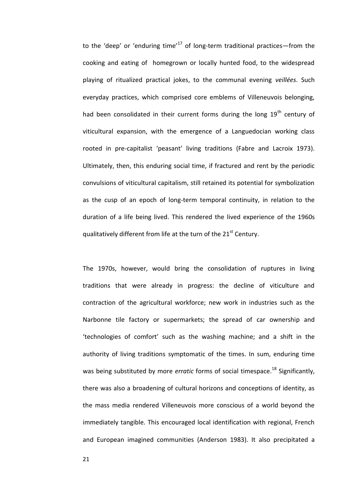to the 'deep' or 'enduring time'<sup>17</sup> of long-term traditional practices—from the cooking and eating of homegrown or locally hunted food, to the widespread playing of ritualized practical jokes, to the communal evening *veillées*. Such everyday practices, which comprised core emblems of Villeneuvois belonging, had been consolidated in their current forms during the long  $19<sup>th</sup>$  century of viticultural expansion, with the emergence of a Languedocian working class rooted in pre-capitalist 'peasant' living traditions (Fabre and Lacroix 1973). Ultimately, then, this enduring social time, if fractured and rent by the periodic convulsions of viticultural capitalism, still retained its potential for symbolization as the cusp of an epoch of long-term temporal continuity, in relation to the duration of a life being lived. This rendered the lived experience of the 1960s qualitatively different from life at the turn of the 21<sup>st</sup> Century.

The 1970s, however, would bring the consolidation of ruptures in living traditions that were already in progress: the decline of viticulture and contraction of the agricultural workforce; new work in industries such as the Narbonne tile factory or supermarkets; the spread of car ownership and 'technologies of comfort' such as the washing machine; and a shift in the authority of living traditions symptomatic of the times. In sum, enduring time was being substituted by more *erratic* forms of social timespace.<sup>18</sup> Significantly, there was also a broadening of cultural horizons and conceptions of identity, as the mass media rendered Villeneuvois more conscious of a world beyond the immediately tangible. This encouraged local identification with regional, French and European imagined communities (Anderson 1983). It also precipitated a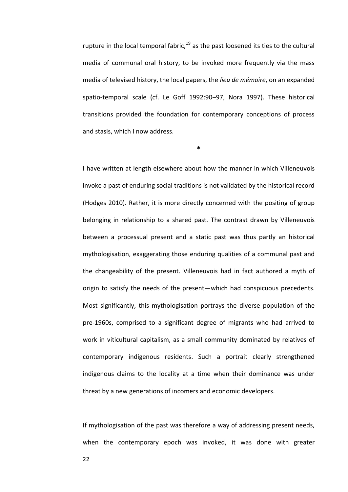rupture in the local temporal fabric, $19$  as the past loosened its ties to the cultural media of communal oral history, to be invoked more frequently via the mass media of televised history, the local papers, the *lieu de mÈmoire*, on an expanded spatio-temporal scale (cf. Le Goff 1992:90-97, Nora 1997). These historical transitions provided the foundation for contemporary conceptions of process and stasis, which I now address.

**\*** 

I have written at length elsewhere about how the manner in which Villeneuvois invoke a past of enduring social traditions is not validated by the historical record (Hodges 2010). Rather, it is more directly concerned with the positing of group belonging in relationship to a shared past. The contrast drawn by Villeneuvois between a processual present and a static past was thus partly an historical mythologisation, exaggerating those enduring qualities of a communal past and the changeability of the present. Villeneuvois had in fact authored a myth of origin to satisfy the needs of the present—which had conspicuous precedents. Most significantly, this mythologisation portrays the diverse population of the pre-1960s, comprised to a significant degree of migrants who had arrived to work in viticultural capitalism, as a small community dominated by relatives of contemporary indigenous residents. Such a portrait clearly strengthened indigenous claims to the locality at a time when their dominance was under threat by a new generations of incomers and economic developers.

If mythologisation of the past was therefore a way of addressing present needs, when the contemporary epoch was invoked, it was done with greater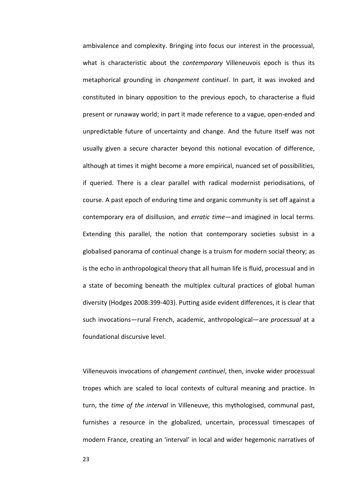ambivalence and complexity. Bringing into focus our interest in the processual, what is characteristic about the *contemporary* Villeneuvois epoch is thus its metaphorical grounding in *changement continuel*. In part, it was invoked and constituted in binary opposition to the previous epoch, to characterise a fluid present or runaway world; in part it made reference to a vague, open-ended and unpredictable future of uncertainty and change. And the future itself was not usually given a secure character beyond this notional evocation of difference, although at times it might become a more empirical, nuanced set of possibilities, if queried. There is a clear parallel with radical modernist periodisations, of course. A past epoch of enduring time and organic community is set off against a contemporary era of disillusion, and *erratic time*—and imagined in local terms. Extending this parallel, the notion that contemporary societies subsist in a globalised panorama of continual change is a truism for modern social theory; as is the echo in anthropological theory that all human life is fluid, processual and in a state of becoming beneath the multiplex cultural practices of global human diversity (Hodges 2008:399-403). Putting aside evident differences, it is clear that such invocations—rural French, academic, anthropological—are *processual* at a foundational discursive level.

Villeneuvois invocations of *changement continuel*, then, invoke wider processual tropes which are scaled to local contexts of cultural meaning and practice. In turn, the *time of the interval* in Villeneuve, this mythologised, communal past, furnishes a resource in the globalized, uncertain, processual timescapes of modern France, creating an 'interval' in local and wider hegemonic narratives of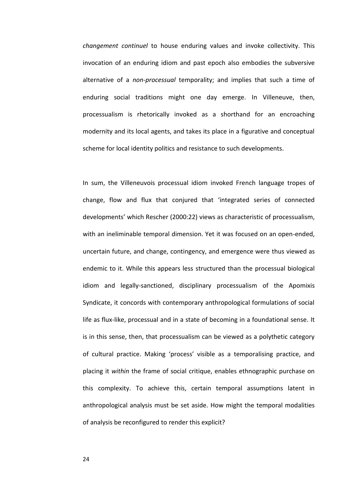*changement continuel* to house enduring values and invoke collectivity. This invocation of an enduring idiom and past epoch also embodies the subversive alternative of a *non-processual* temporality; and implies that such a time of enduring social traditions might one day emerge. In Villeneuve, then, processualism is rhetorically invoked as a shorthand for an encroaching modernity and its local agents, and takes its place in a figurative and conceptual scheme for local identity politics and resistance to such developments.

In sum, the Villeneuvois processual idiom invoked French language tropes of change, flow and flux that conjured that 'integrated series of connected developments' which Rescher (2000:22) views as characteristic of processualism, with an ineliminable temporal dimension. Yet it was focused on an open-ended, uncertain future, and change, contingency, and emergence were thus viewed as endemic to it. While this appears less structured than the processual biological idiom and legally-sanctioned, disciplinary processualism of the Apomixis Syndicate, it concords with contemporary anthropological formulations of social life as flux-like, processual and in a state of becoming in a foundational sense. It is in this sense, then, that processualism can be viewed as a polythetic category of cultural practice. Making 'process' visible as a temporalising practice, and placing it *within* the frame of social critique, enables ethnographic purchase on this complexity. To achieve this, certain temporal assumptions latent in anthropological analysis must be set aside. How might the temporal modalities of analysis be reconfigured to render this explicit?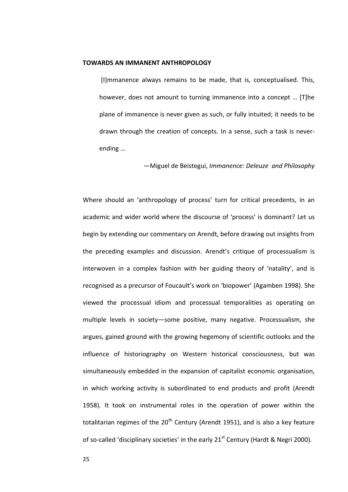#### **TOWARDS AN IMMANENT ANTHROPOLOGY**

[I] mmanence always remains to be made, that is, conceptualised. This, however, does not amount to turning immanence into a concept ... [T]he plane of immanence is never given as such, or fully intuited; it needs to be drawn through the creation of concepts. In a sense, such a task is neverending ...

-Miguel de Beistegui, Immanence: Deleuze and Philosophy

Where should an 'anthropology of process' turn for critical precedents, in an academic and wider world where the discourse of 'process' is dominant? Let us begin by extending our commentary on Arendt, before drawing out insights from the preceding examples and discussion. Arendt's critique of processualism is interwoven in a complex fashion with her guiding theory of 'natality', and is recognised as a precursor of Foucault's work on 'biopower' (Agamben 1998). She viewed the processual idiom and processual temporalities as operating on multiple levels in society-some positive, many negative. Processualism, she argues, gained ground with the growing hegemony of scientific outlooks and the influence of historiography on Western historical consciousness, but was simultaneously embedded in the expansion of capitalist economic organisation, in which working activity is subordinated to end products and profit (Arendt 1958). It took on instrumental roles in the operation of power within the totalitarian regimes of the 20<sup>th</sup> Century (Arendt 1951), and is also a key feature of so-called 'disciplinary societies' in the early 21<sup>st</sup> Century (Hardt & Negri 2000).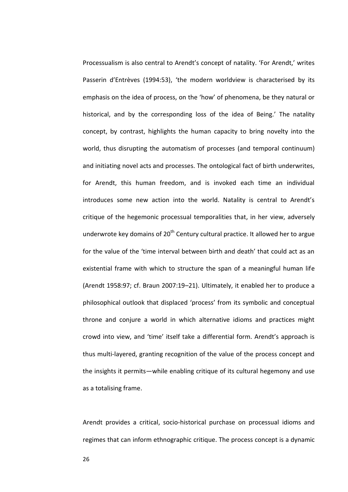Processualism is also central to Arendt's concept of natality. 'For Arendt,' writes Passerin d'Entrèves (1994:53), 'the modern worldview is characterised by its emphasis on the idea of process, on the 'how' of phenomena, be they natural or historical, and by the corresponding loss of the idea of Being.' The natality concept, by contrast, highlights the human capacity to bring novelty into the world, thus disrupting the automatism of processes (and temporal continuum) and initiating novel acts and processes. The ontological fact of birth underwrites, for Arendt, this human freedom, and is invoked each time an individual introduces some new action into the world. Natality is central to Arendt's critique of the hegemonic processual temporalities that, in her view, adversely underwrote key domains of  $20<sup>th</sup>$  Century cultural practice. It allowed her to argue for the value of the 'time interval between birth and death' that could act as an existential frame with which to structure the span of a meaningful human life (Arendt 1958:97; cf. Braun 2007:19-21). Ultimately, it enabled her to produce a philosophical outlook that displaced 'process' from its symbolic and conceptual throne and conjure a world in which alternative idioms and practices might crowd into view, and 'time' itself take a differential form. Arendt's approach is thus multi-layered, granting recognition of the value of the process concept and the insights it permits—while enabling critique of its cultural hegemony and use as a totalising frame.

Arendt provides a critical, socio-historical purchase on processual idioms and regimes that can inform ethnographic critique. The process concept is a dynamic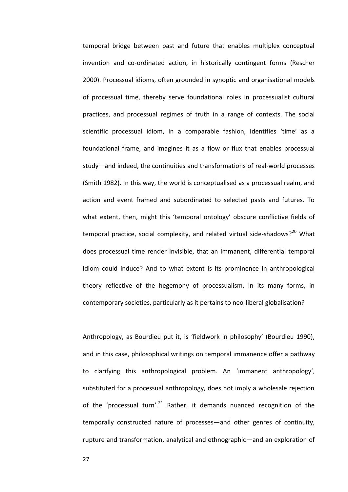temporal bridge between past and future that enables multiplex conceptual invention and co-ordinated action, in historically contingent forms (Rescher 2000). Processual idioms, often grounded in synoptic and organisational models of processual time, thereby serve foundational roles in processualist cultural practices, and processual regimes of truth in a range of contexts. The social scientific processual idiom, in a comparable fashion, identifies 'time' as a foundational frame, and imagines it as a flow or flux that enables processual study—and indeed, the continuities and transformations of real-world processes (Smith 1982). In this way, the world is conceptualised as a processual realm, and action and event framed and subordinated to selected pasts and futures. To what extent, then, might this 'temporal ontology' obscure conflictive fields of temporal practice, social complexity, and related virtual side-shadows?<sup>20</sup> What does processual time render invisible, that an immanent, differential temporal idiom could induce? And to what extent is its prominence in anthropological theory reflective of the hegemony of processualism, in its many forms, in contemporary societies, particularly as it pertains to neo-liberal globalisation?

Anthropology, as Bourdieu put it, is 'fieldwork in philosophy' (Bourdieu 1990), and in this case, philosophical writings on temporal immanence offer a pathway to clarifying this anthropological problem. An 'immanent anthropology', substituted for a processual anthropology, does not imply a wholesale rejection of the 'processual turn'.<sup>21</sup> Rather, it demands nuanced recognition of the temporally constructed nature of processes—and other genres of continuity, rupture and transformation, analytical and ethnographic—and an exploration of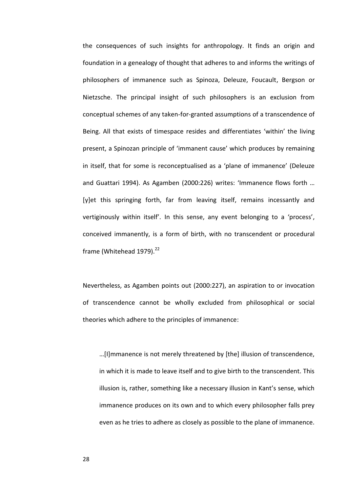the consequences of such insights for anthropology. It finds an origin and foundation in a genealogy of thought that adheres to and informs the writings of philosophers of immanence such as Spinoza, Deleuze, Foucault, Bergson or Nietzsche. The principal insight of such philosophers is an exclusion from conceptual schemes of any taken-for-granted assumptions of a transcendence of Being. All that exists of timespace resides and differentiates 'within' the living present, a Spinozan principle of 'immanent cause' which produces by remaining in itself, that for some is reconceptualised as a 'plane of immanence' (Deleuze and Guattari 1994). As Agamben (2000:226) writes: 'Immanence flows forth ... [y]et this springing forth, far from leaving itself, remains incessantly and vertiginously within itself'. In this sense, any event belonging to a 'process', conceived immanently, is a form of birth, with no transcendent or procedural frame (Whitehead 1979). $^{22}$ 

Nevertheless, as Agamben points out (2000:227), an aspiration to or invocation of transcendence cannot be wholly excluded from philosophical or social theories which adhere to the principles of immanence:

...[I]mmanence is not merely threatened by [the] illusion of transcendence, in which it is made to leave itself and to give birth to the transcendent. This illusion is, rather, something like a necessary illusion in Kant's sense, which immanence produces on its own and to which every philosopher falls prey even as he tries to adhere as closely as possible to the plane of immanence.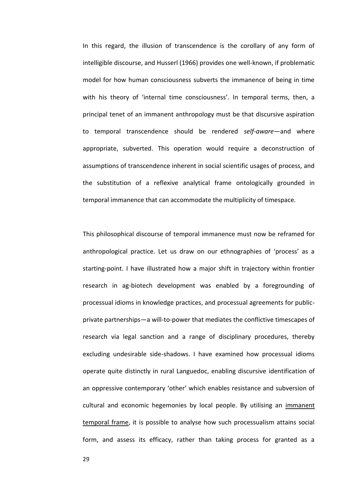In this regard, the illusion of transcendence is the corollary of any form of intelligible discourse, and Husserl (1966) provides one well-known, if problematic model for how human consciousness subverts the immanence of being in time with his theory of 'internal time consciousness'. In temporal terms, then, a principal tenet of an immanent anthropology must be that discursive aspiration to temporal transcendence should be rendered *self-aware*—and where appropriate, subverted. This operation would require a deconstruction of assumptions of transcendence inherent in social scientific usages of process, and the substitution of a reflexive analytical frame ontologically grounded in temporal immanence that can accommodate the multiplicity of timespace.

This philosophical discourse of temporal immanence must now be reframed for anthropological practice. Let us draw on our ethnographies of 'process' as a starting-point. I have illustrated how a major shift in trajectory within frontier research in ag-biotech development was enabled by a foregrounding of processual idioms in knowledge practices, and processual agreements for publicprivate partnerships—a will-to-power that mediates the conflictive timescapes of research via legal sanction and a range of disciplinary procedures, thereby excluding undesirable side-shadows. I have examined how processual idioms operate quite distinctly in rural Languedoc, enabling discursive identification of an oppressive contemporary 'other' which enables resistance and subversion of cultural and economic hegemonies by local people. By utilising an immanent temporal frame, it is possible to analyse how such processualism attains social form, and assess its efficacy, rather than taking process for granted as a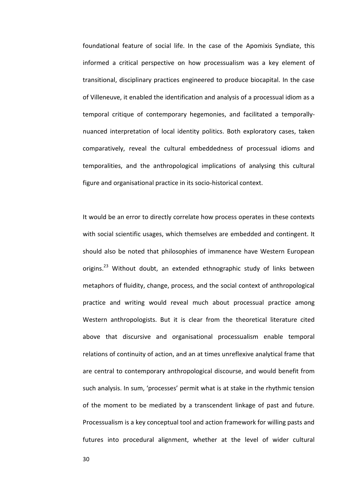foundational feature of social life. In the case of the Apomixis Syndiate, this informed a critical perspective on how processualism was a key element of transitional, disciplinary practices engineered to produce biocapital. In the case of Villeneuve, it enabled the identification and analysis of a processual idiom as a temporal critique of contemporary hegemonies, and facilitated a temporallynuanced interpretation of local identity politics. Both exploratory cases, taken comparatively, reveal the cultural embeddedness of processual idioms and temporalities, and the anthropological implications of analysing this cultural figure and organisational practice in its socio-historical context.

It would be an error to directly correlate how process operates in these contexts with social scientific usages, which themselves are embedded and contingent. It should also be noted that philosophies of immanence have Western European origins.<sup>23</sup> Without doubt, an extended ethnographic study of links between metaphors of fluidity, change, process, and the social context of anthropological practice and writing would reveal much about processual practice among Western anthropologists. But it is clear from the theoretical literature cited above that discursive and organisational processualism enable temporal relations of continuity of action, and an at times unreflexive analytical frame that are central to contemporary anthropological discourse, and would benefit from such analysis. In sum, 'processes' permit what is at stake in the rhythmic tension of the moment to be mediated by a transcendent linkage of past and future. Processualism is a key conceptual tool and action framework for willing pasts and futures into procedural alignment, whether at the level of wider cultural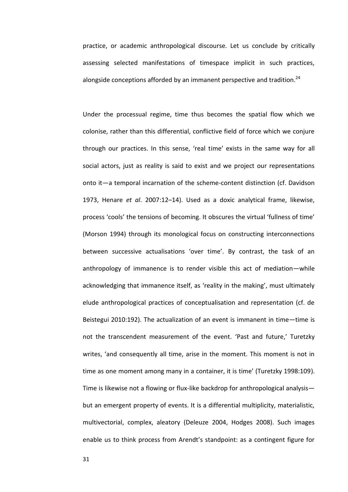practice, or academic anthropological discourse. Let us conclude by critically assessing selected manifestations of timespace implicit in such practices, alongside conceptions afforded by an immanent perspective and tradition.<sup>24</sup>

Under the processual regime, time thus becomes the spatial flow which we colonise, rather than this differential, conflictive field of force which we conjure through our practices. In this sense, 'real time' exists in the same way for all social actors, just as reality is said to exist and we project our representations onto it—a temporal incarnation of the scheme-content distinction (cf. Davidson 1973, Henare *et al.* 2007:12-14). Used as a doxic analytical frame, likewise, process 'cools' the tensions of becoming. It obscures the virtual 'fullness of time' (Morson 1994) through its monological focus on constructing interconnections between successive actualisations 'over time'. By contrast, the task of an anthropology of immanence is to render visible this act of mediation—while acknowledging that immanence itself, as 'reality in the making', must ultimately elude anthropological practices of conceptualisation and representation (cf. de Beistegui 2010:192). The actualization of an event is immanent in time—time is not the transcendent measurement of the event. 'Past and future,' Turetzky writes, 'and consequently all time, arise in the moment. This moment is not in time as one moment among many in a container, it is time' (Turetzky 1998:109). Time is likewise not a flowing or flux-like backdrop for anthropological analysis but an emergent property of events. It is a differential multiplicity, materialistic, multivectorial, complex, aleatory (Deleuze 2004, Hodges 2008). Such images enable us to think process from Arendt's standpoint: as a contingent figure for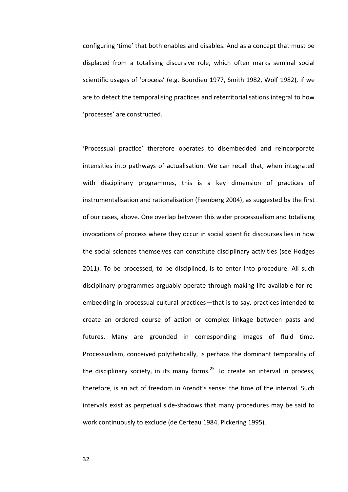configuring 'time' that both enables and disables. And as a concept that must be displaced from a totalising discursive role, which often marks seminal social scientific usages of 'process' (e.g. Bourdieu 1977, Smith 1982, Wolf 1982), if we are to detect the temporalising practices and reterritorialisations integral to how 'processes' are constructed.

'Processual practice' therefore operates to disembedded and reincorporate intensities into pathways of actualisation. We can recall that, when integrated with disciplinary programmes, this is a key dimension of practices of instrumentalisation and rationalisation (Feenberg 2004), as suggested by the first of our cases, above. One overlap between this wider processualism and totalising invocations of process where they occur in social scientific discourses lies in how the social sciences themselves can constitute disciplinary activities (see Hodges 2011). To be processed, to be disciplined, is to enter into procedure. All such disciplinary programmes arguably operate through making life available for reembedding in processual cultural practices—that is to say, practices intended to create an ordered course of action or complex linkage between pasts and futures. Many are grounded in corresponding images of fluid time. Processualism, conceived polythetically, is perhaps the dominant temporality of the disciplinary society, in its many forms.<sup>25</sup> To create an interval in process, therefore, is an act of freedom in Arendt's sense: the time of the interval. Such intervals exist as perpetual side-shadows that many procedures may be said to work continuously to exclude (de Certeau 1984, Pickering 1995).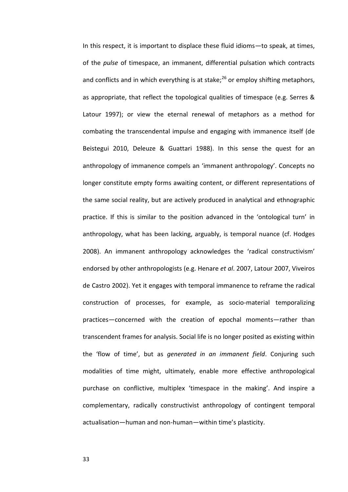In this respect, it is important to displace these fluid idioms-to speak, at times, of the *pulse* of timespace, an immanent, differential pulsation which contracts and conflicts and in which everything is at stake; $^{26}$  or employ shifting metaphors, as appropriate, that reflect the topological qualities of timespace (e.g. Serres & Latour 1997); or view the eternal renewal of metaphors as a method for combating the transcendental impulse and engaging with immanence itself (de Beistegui 2010, Deleuze & Guattari 1988). In this sense the quest for an anthropology of immanence compels an 'immanent anthropology'. Concepts no longer constitute empty forms awaiting content, or different representations of the same social reality, but are actively produced in analytical and ethnographic practice. If this is similar to the position advanced in the 'ontological turn' in anthropology, what has been lacking, arguably, is temporal nuance (cf. Hodges 2008). An immanent anthropology acknowledges the 'radical constructivism' endorsed by other anthropologists (e.g. Henare *et al*. 2007, Latour 2007, Viveiros de Castro 2002). Yet it engages with temporal immanence to reframe the radical construction of processes, for example, as socio-material temporalizing practices-concerned with the creation of epochal moments-rather than transcendent frames for analysis. Social life is no longer posited as existing within the 'flow of time', but as *generated in an immanent field*. Conjuring such modalities of time might, ultimately, enable more effective anthropological purchase on conflictive, multiplex 'timespace in the making'. And inspire a complementary, radically constructivist anthropology of contingent temporal actualisation-human and non-human-within time's plasticity.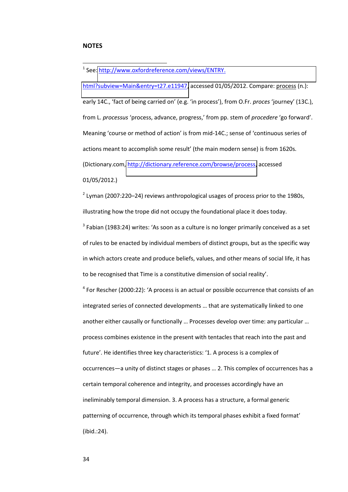#### **NOTES**

-

<sup>1</sup> See: http://www.oxfordreference.com/views/ENTRY.

[html?subview=Main&entry=t27.e11947,](http://www.oxfordreference.com/views/ENTRY.%20html?subview=Main&entry=t27.e11947) accessed 01/05/2012. Compare: process (n.): early 14C., 'fact of being carried on' (e.g. 'in process'), from O.Fr. proces 'journey' (13C.), from L. *processus* 'process, advance, progress,' from pp. stem of *procedere* 'go forward'. Meaning 'course or method of action' is from mid-14C.; sense of 'continuous series of actions meant to accomplish some result' (the main modern sense) is from 1620s. (Dictionary.com, [http://dictionary.reference.com/browse/process,](http://dictionary.reference.com/browse/process) accessed 01/05/2012.)

 $2$  Lyman (2007:220–24) reviews anthropological usages of process prior to the 1980s, illustrating how the trope did not occupy the foundational place it does today.

 $3$  Fabian (1983:24) writes: 'As soon as a culture is no longer primarily conceived as a set of rules to be enacted by individual members of distinct groups, but as the specific way in which actors create and produce beliefs, values, and other means of social life, it has to be recognised that Time is a constitutive dimension of social reality'.

 $4$  For Rescher (2000:22): 'A process is an actual or possible occurrence that consists of an integrated series of connected developments ... that are systematically linked to one another either causally or functionally ... Processes develop over time: any particular ... process combines existence in the present with tentacles that reach into the past and future'. He identifies three key characteristics: '1. A process is a complex of occurrences—a unity of distinct stages or phases ... 2. This complex of occurrences has a certain temporal coherence and integrity, and processes accordingly have an ineliminably temporal dimension. 3. A process has a structure, a formal generic patterning of occurrence, through which its temporal phases exhibit a fixed format' (ibid.:24).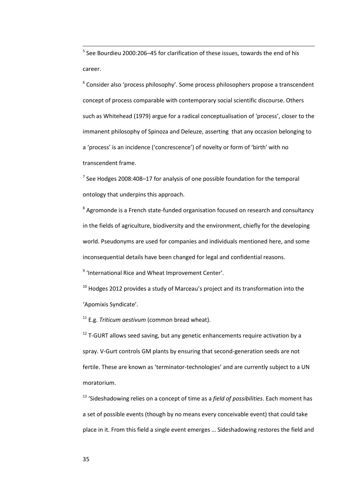$<sup>5</sup>$  See Bourdieu 2000:206–45 for clarification of these issues, towards the end of his</sup> career.

 $6$  Consider also 'process philosophy'. Some process philosophers propose a transcendent concept of process comparable with contemporary social scientific discourse. Others such as Whitehead (1979) argue for a radical conceptualisation of 'process', closer to the immanent philosophy of Spinoza and Deleuze, asserting that any occasion belonging to a 'process' is an incidence ('concrescence') of novelty or form of 'birth' with no transcendent frame.

 $<sup>7</sup>$  See Hodges 2008:408–17 for analysis of one possible foundation for the temporal</sup> ontology that underpins this approach.

<sup>8</sup> Agromonde is a French state-funded organisation focused on research and consultancy in the fields of agriculture, biodiversity and the environment, chiefly for the developing world. Pseudonyms are used for companies and individuals mentioned here, and some inconsequential details have been changed for legal and confidential reasons.

<sup>9</sup> 'International Rice and Wheat Improvement Center'.

 $10$  Hodges 2012 provides a study of Marceau's project and its transformation into the 'Apomixis Syndicate'.

<sup>11</sup> E.g. *Triticum aestivum* (common bread wheat).

 $12$  T-GURT allows seed saving, but any genetic enhancements require activation by a spray. V-Gurt controls GM plants by ensuring that second-generation seeds are not fertile. These are known as 'terminator-technologies' and are currently subject to a UN moratorium.

<sup>13</sup> 'Sideshadowing relies on a concept of time as a *field of possibilities*. Each moment has a set of possible events (though by no means every conceivable event) that could take place in it. From this field a single event emerges ... Sideshadowing restores the field and

-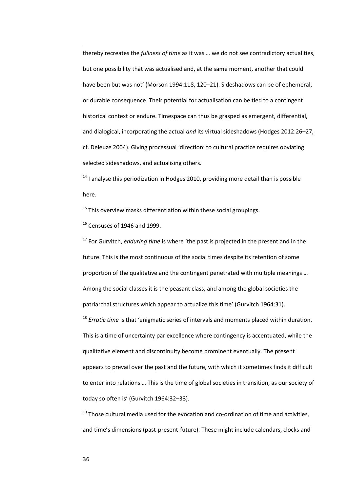thereby recreates the *fullness of time* as it was ... we do not see contradictory actualities, but one possibility that was actualised and, at the same moment, another that could have been but was not' (Morson 1994:118, 120-21). Sideshadows can be of ephemeral, or durable consequence. Their potential for actualisation can be tied to a contingent historical context or endure. Timespace can thus be grasped as emergent, differential, and dialogical, incorporating the actual *and* its virtual sideshadows (Hodges 2012:26-27, cf. Deleuze 2004). Giving processual 'direction' to cultural practice requires obviating selected sideshadows, and actualising others.

 $14$  I analyse this periodization in Hodges 2010, providing more detail than is possible here.

 $15$  This overview masks differentiation within these social groupings.

 $16$  Censuses of 1946 and 1999.

-

<sup>17</sup> For Gurvitch, *enduring time* is where 'the past is projected in the present and in the future. This is the most continuous of the social times despite its retention of some proportion of the qualitative and the contingent penetrated with multiple meanings ... Among the social classes it is the peasant class, and among the global societies the patriarchal structures which appear to actualize this time' (Gurvitch 1964:31).

<sup>18</sup> *Erratic time* is that 'enigmatic series of intervals and moments placed within duration. This is a time of uncertainty par excellence where contingency is accentuated, while the qualitative element and discontinuity become prominent eventually. The present appears to prevail over the past and the future, with which it sometimes finds it difficult to enter into relations ... This is the time of global societies in transition, as our society of today so often is' (Gurvitch 1964:32-33).

 $19$  Those cultural media used for the evocation and co-ordination of time and activities, and time's dimensions (past-present-future). These might include calendars, clocks and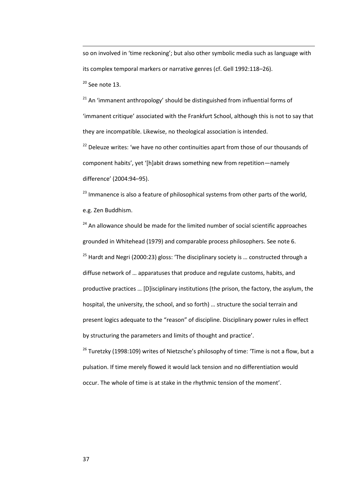so on involved in 'time reckoning'; but also other symbolic media such as language with its complex temporal markers or narrative genres (cf. Gell 1992:118-26).

 $20$  See note 13.

-

 $21$  An 'immanent anthropology' should be distinguished from influential forms of 'immanent critique' associated with the Frankfurt School, although this is not to say that they are incompatible. Likewise, no theological association is intended.

 $22$  Deleuze writes: 'we have no other continuities apart from those of our thousands of component habits', yet '[h]abit draws something new from repetition-namely difference' (2004:94-95).

<sup>23</sup> Immanence is also a feature of philosophical systems from other parts of the world, e.g. Zen Buddhism.

<sup>24</sup> An allowance should be made for the limited number of social scientific approaches grounded in Whitehead (1979) and comparable process philosophers. See note 6. <sup>25</sup> Hardt and Negri (2000:23) gloss: 'The disciplinary society is ... constructed through a diffuse network of ... apparatuses that produce and regulate customs, habits, and productive practices ... [D]isciplinary institutions (the prison, the factory, the asylum, the hospital, the university, the school, and so forth) ... structure the social terrain and present logics adequate to the "reason" of discipline. Disciplinary power rules in effect by structuring the parameters and limits of thought and practice'.

<sup>26</sup> Turetzky (1998:109) writes of Nietzsche's philosophy of time: 'Time is not a flow, but a pulsation. If time merely flowed it would lack tension and no differentiation would occur. The whole of time is at stake in the rhythmic tension of the moment'.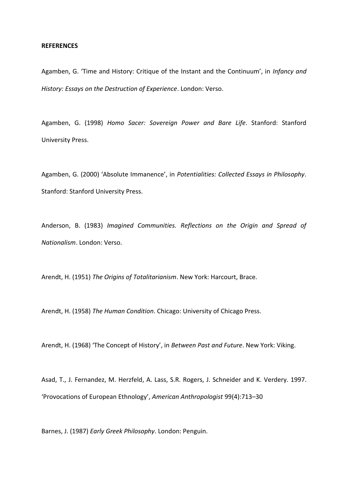#### **REFERENCES**

Agamben, G. 'Time and History: Critique of the Instant and the Continuum', in Infancy and *History: Essays on the Destruction of Experience*. London: Verso.

Agamben, G. (1998) *Homo Sacer: Sovereign Power and Bare Life*. Stanford: Stanford University Press.

Agamben, G. (2000) 'Absolute Immanence', in Potentialities: Collected Essays in Philosophy. Stanford: Stanford University Press.

Anderson, B. (1983) *Imagined Communities. Reflections on the Origin and Spread of Nationalism*. London: Verso.

Arendt, H. (1951) *The Origins of Totalitarianism*. New York: Harcourt, Brace.

Arendt, H. (1958) *The Human Condition*. Chicago: University of Chicago Press.

Arendt, H. (1968) 'The Concept of History', in *Between Past and Future*. New York: Viking.

Asad, T., J. Fernandez, M. Herzfeld, A. Lass, S.R. Rogers, J. Schneider and K. Verdery. 1997. 'Provocations of European Ethnology', American Anthropologist 99(4):713-30

Barnes, J. (1987) *Early Greek Philosophy*. London: Penguin.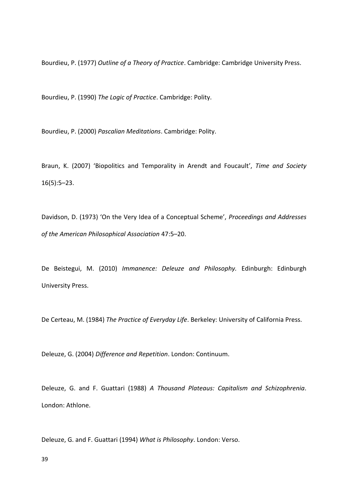Bourdieu, P. (1977) Outline of a Theory of Practice. Cambridge: Cambridge University Press.

Bourdieu, P. (1990) The Logic of Practice. Cambridge: Polity.

Bourdieu, P. (2000) Pascalian Meditations. Cambridge: Polity.

Braun, K. (2007) 'Biopolitics and Temporality in Arendt and Foucault', Time and Society  $16(5):5-23.$ 

Davidson, D. (1973) 'On the Very Idea of a Conceptual Scheme', Proceedings and Addresses of the American Philosophical Association 47:5-20.

De Beistegui, M. (2010) Immanence: Deleuze and Philosophy. Edinburgh: Edinburgh University Press.

De Certeau, M. (1984) The Practice of Everyday Life. Berkeley: University of California Press.

Deleuze, G. (2004) Difference and Repetition. London: Continuum.

Deleuze, G. and F. Guattari (1988) A Thousand Plateaus: Capitalism and Schizophrenia. London: Athlone.

Deleuze, G. and F. Guattari (1994) What is Philosophy. London: Verso.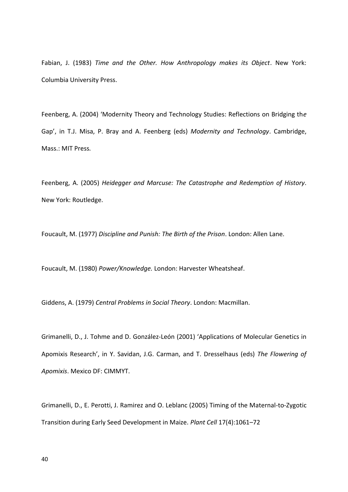Fabian, J. (1983) Time and the Other. How Anthropology makes its Object. New York: Columbia University Press.

Feenberg, A. (2004) 'Modernity Theory and Technology Studies: Reflections on Bridging the Gap', in T.J. Misa, P. Bray and A. Feenberg (eds) Modernity and Technology. Cambridge, Mass.: MIT Press.

Feenberg, A. (2005) Heidegger and Marcuse: The Catastrophe and Redemption of History. New York: Routledge.

Foucault, M. (1977) Discipline and Punish: The Birth of the Prison. London: Allen Lane.

Foucault, M. (1980) Power/Knowledge. London: Harvester Wheatsheaf.

Giddens, A. (1979) Central Problems in Social Theory. London: Macmillan.

Grimanelli, D., J. Tohme and D. González-León (2001) 'Applications of Molecular Genetics in Apomixis Research', in Y. Savidan, J.G. Carman, and T. Dresselhaus (eds) The Flowering of Apomixis. Mexico DF: CIMMYT.

Grimanelli, D., E. Perotti, J. Ramirez and O. Leblanc (2005) Timing of the Maternal-to-Zygotic Transition during Early Seed Development in Maize. Plant Cell 17(4):1061-72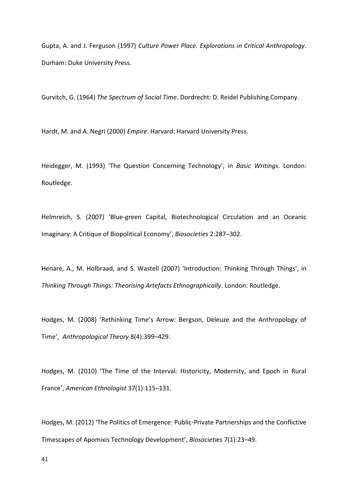Gupta, A. and J. Ferguson (1997) Culture Power Place. Explorations in Critical Anthropology. Durham: Duke University Press.

Gurvitch, G. (1964) The Spectrum of Social Time. Dordrecht: D. Reidel Publishing Company.

Hardt, M. and A. Negri (2000) Empire. Harvard: Harvard University Press.

Heidegger, M. (1993) 'The Question Concerning Technology', in Basic Writings. London: Routledge.

Helmreich, S. (2007) 'Blue-green Capital, Biotechnological Circulation and an Oceanic Imaginary: A Critique of Biopolitical Economy', Biosocieties 2:287-302.

Henare, A., M. Holbraad, and S. Wastell (2007) 'Introduction: Thinking Through Things', in Thinking Through Things: Theorising Artefacts Ethnographically. London: Routledge.

Hodges, M. (2008) 'Rethinking Time's Arrow: Bergson, Deleuze and the Anthropology of Time', Anthropological Theory 8(4):399-429.

Hodges, M. (2010) 'The Time of the Interval: Historicity, Modernity, and Epoch in Rural France', American Ethnologist 37(1):115-131.

Hodges, M. (2012) 'The Politics of Emergence: Public-Private Partnerships and the Conflictive Timescapes of Apomixis Technology Development', Biosocieties 7(1):23-49.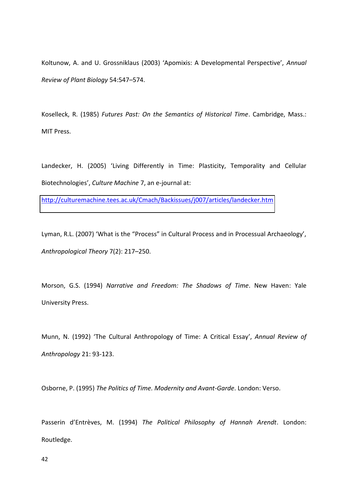Koltunow, A. and U. Grossniklaus (2003) 'Apomixis: A Developmental Perspective', Annual Review of Plant Biology 54:547-574.

Koselleck, R. (1985) Futures Past: On the Semantics of Historical Time. Cambridge, Mass.: MIT Press.

Landecker, H. (2005) 'Living Differently in Time: Plasticity, Temporality and Cellular Biotechnologies', Culture Machine 7, an e-journal at:

http://culturemachine.tees.ac.uk/Cmach/Backissues/j007/articles/landecker.htm

Lyman, R.L. (2007) 'What is the "Process" in Cultural Process and in Processual Archaeology', Anthropological Theory 7(2): 217-250.

Morson, G.S. (1994) Narrative and Freedom: The Shadows of Time. New Haven: Yale University Press.

Munn, N. (1992) 'The Cultural Anthropology of Time: A Critical Essay', Annual Review of Anthropology 21: 93-123.

Osborne, P. (1995) The Politics of Time. Modernity and Avant-Garde. London: Verso.

Passerin d'Entrèves, M. (1994) The Political Philosophy of Hannah Arendt. London: Routledge.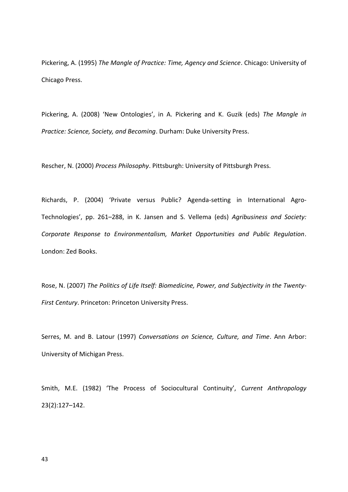Pickering, A. (1995) The Mangle of Practice: Time, Agency and Science. Chicago: University of Chicago Press.

Pickering, A. (2008) 'New Ontologies', in A. Pickering and K. Guzik (eds) The Mangle in Practice: Science, Society, and Becoming. Durham: Duke University Press.

Rescher, N. (2000) Process Philosophy. Pittsburgh: University of Pittsburgh Press.

Richards, P. (2004) 'Private versus Public? Agenda-setting in International Agro-Technologies', pp. 261-288, in K. Jansen and S. Vellema (eds) Agribusiness and Society: Corporate Response to Environmentalism, Market Opportunities and Public Regulation. London: Zed Books.

Rose, N. (2007) The Politics of Life Itself: Biomedicine, Power, and Subjectivity in the Twenty-First Century. Princeton: Princeton University Press.

Serres, M. and B. Latour (1997) Conversations on Science, Culture, and Time. Ann Arbor: University of Michigan Press.

Smith, M.E. (1982) 'The Process of Sociocultural Continuity', Current Anthropology  $23(2):127 - 142.$